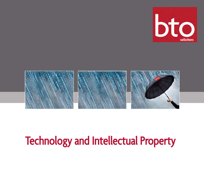



# Technology and Intellectual Property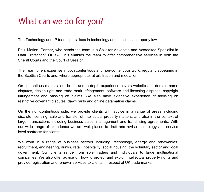# What can we do for you?

The Technology and IP team specialises in technology and intellectual property law.

Paul Motion, Partner, who heads the team is a Solicitor Advocate and Accredited Specialist in Data Protection/FOI law. This enables the team to offer comprehensive services in both the Sheriff Courts and the Court of Session.

The Team offers expertise in both contentious and non-contentious work, regularly appearing in the Scottish Courts and, where appropriate, at arbitration and mediation.

On contentious matters, our broad and in-depth experience covers website and domain name disputes, design right and trade mark infringement, software and licensing disputes, copyright infringement and passing off claims. We also have extensive experience of advising on restrictive covenant disputes, dawn raids and online defamation claims.

On the non-contentious side, we provide clients with advice in a range of areas including discrete licensing, sale and transfer of intellectual property matters, and also in the context of larger transactions including business sales, management and franchising agreements. With our wide range of experience we are well placed to draft and revise technology and service level contracts for clients.

We work in a range of business sectors including: technology, energy and renewables, recruitment, engineering, drinks, retail, hospitality, social housing, the voluntary sector and local government. Our clients range from sole traders and individuals to large multinational companies. We also offer advice on how to protect and exploit intellectual property rights and provide registration and renewal services to clients in respect of UK trade marks.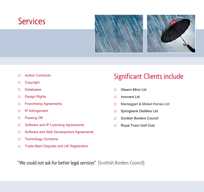### **Services**



- Author Contracts
- □ Copyright
- Databases
- Design Rights
- □ Franchising Agreements
- IP Infringement
- □ Passing Off
- □ Software and IP Licensing Agreements
- □ Software and Web Development Agreements
- □ Technology Contracts
- □ Trade Mark Disputes and UK Registration

#### Significant Clients include

- Gleann Mhor Ltd
- □ Innovent Ltd
- □ Mactaggart & Mickel Homes Ltd
- □ Springbank Distillers Ltd
- □ Scottish Borders Councll
- Royal Troon Golf Club

"We could not ask for better legal services" (Scottish Borders Council)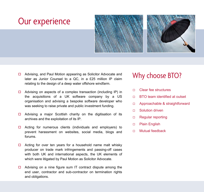### Our experience



- □ Advising, and Paul Motion appearing as Solicitor Advocate and later as Junior Counsel to a QC, in a £25 million IP claim relating to the design of a deep water offshore windfarm.
- $\Box$  Advising on aspects of a complex transaction (including IP) in the acquisitions of a UK software company by a US organisation and advising a bespoke software developer who was seeking to raise private and public investment funding.
- $\Box$  Advising a major Scottish charity on the digitisation of its archives and the exploitation of its IP.
- $\Box$  Acting for numerous clients (individuals and employers) to prevent harassment on websites, social media, blogs and forums.
- $\Box$  Acting for over ten years for a household name malt whisky producer on trade mark infringements and passing-off cases with both UK and international aspects, the UK elements of which were litigated by Paul Motion as Solicitor Advocate.
- $\Box$  Advising on a nine figure sum IT contract dispute among the end user, contractor and sub-contractor on termination rights and obligations.

#### Why choose BTO?

- Clear fee structures
- □ BTO team identified at outset
- □ Approachable & straightforward
- □ Solution driven
- □ Regular reporting
- D Plain English
- Mutual feedback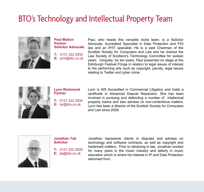## BTO's Technology and Intellectual Property Team



**Paul Motion Partner Solicitor Advocate** 

**T:** 0131 222 2932 **E:** prm@bto.co.uk Paul, who heads this versatile niche team, is a Solicitor Advocate, Accredited Specialist in Data Protection and FOI law and an IP/IT specialist. He is a past Chairman of the Scottish Society for Computers and Law and he chaired the Law Society of Scotland's Technology Committee for sixteen years. Uniquely, for ten years, Paul presented on stage at the Edinburgh Festival Fringe in relation to legal issues of interest to the performing arts such as copyright, parody, legal issues relating to Twitter and cyber crime.



**Lynn Richmond Partner** 

**T:** 0131 222 2934 **E:** lyr@bto.co.uk

Lynn is WS Accredited in Commercial Litigation and holds a certificate in Advanced Dispute Resolution. She has been involved in pursuing and defending a number of intellectual property claims and also advises on non-contentious matters. Lynn has been a director of the Scottish Society for Computers and Law since 2008.



**Jonathan Tait Solicitor** 

**T:** 0131 222 2939 **E:** jta@bto.co.uk

Jonathan represents clients in disputes and advises on technology and software contracts, as well as copyright and trademark matters. Prior to retraining in law, Jonathan worked for many years in the music industry and latterly in music education which is where his interest in IP and Data Protection stemmed from.